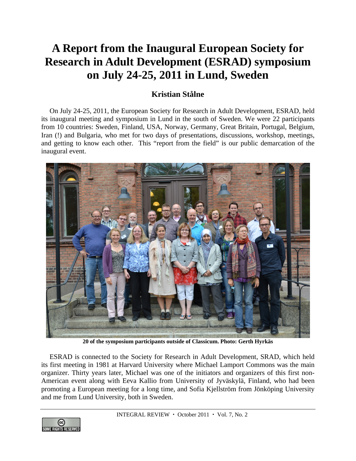## **A Report from the Inaugural European Society for Research in Adult Development (ESRAD) symposium on July 24-25, 2011 in Lund, Sweden**

## **Kristian Stålne**

On July 24-25, 2011, the European Society for Research in Adult Development, ESRAD, held its inaugural meeting and symposium in Lund in the south of Sweden. We were 22 participants from 10 countries: Sweden, Finland, USA, Norway, Germany, Great Britain, Portugal, Belgium, Iran (!) and Bulgaria, who met for two days of presentations, discussions, workshop, meetings, and getting to know each other. This "report from the field" is our public demarcation of the inaugural event.



**20 of the symposium participants outside of Classicum. Photo: Gerth Hyrkäs** 

ESRAD is connected to the Society for Research in Adult Development, SRAD, which held its first meeting in 1981 at Harvard University where Michael Lamport Commons was the main organizer. Thirty years later, Michael was one of the initiators and organizers of this first non-American event along with Eeva Kallio from University of Jyväskylä, Finland, who had been promoting a European meeting for a long time, and Sofia Kjellström from Jönköping University and me from Lund University, both in Sweden.